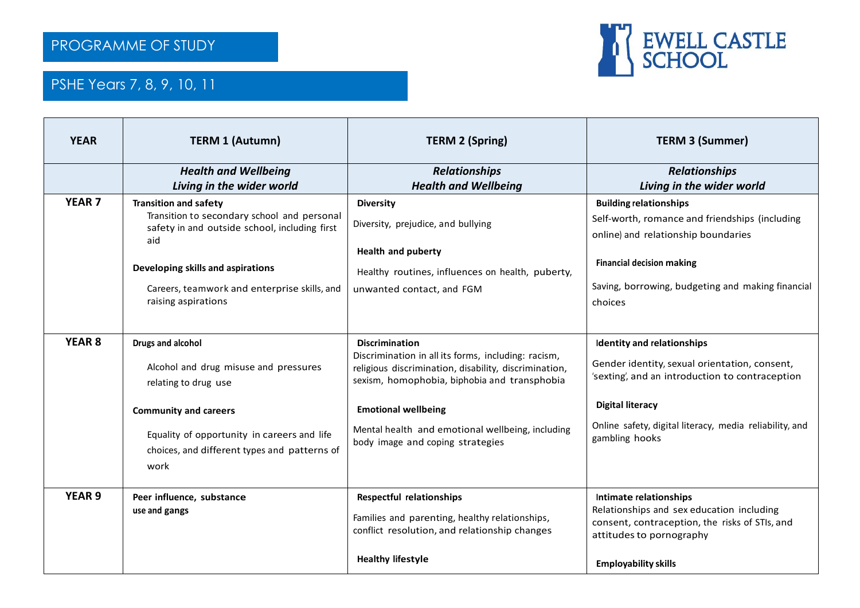

## PSHE Years 7, 8, 9, 10, 11

2018/2019

| <b>YEAR</b>       | <b>TERM 1 (Autumn)</b>                                                                                                                                                                                                   | <b>TERM 2 (Spring)</b>                                                                                                                                                                | <b>TERM 3 (Summer)</b>                                                                                                                                                                                          |
|-------------------|--------------------------------------------------------------------------------------------------------------------------------------------------------------------------------------------------------------------------|---------------------------------------------------------------------------------------------------------------------------------------------------------------------------------------|-----------------------------------------------------------------------------------------------------------------------------------------------------------------------------------------------------------------|
|                   | <b>Health and Wellbeing</b><br>Living in the wider world                                                                                                                                                                 | <b>Relationships</b><br><b>Health and Wellbeing</b>                                                                                                                                   | <b>Relationships</b><br>Living in the wider world                                                                                                                                                               |
| <b>YEAR 7</b>     | <b>Transition and safety</b><br>Transition to secondary school and personal<br>safety in and outside school, including first<br>aid<br>Developing skills and aspirations<br>Careers, teamwork and enterprise skills, and | <b>Diversity</b><br>Diversity, prejudice, and bullying<br><b>Health and puberty</b><br>Healthy routines, influences on health, puberty,<br>unwanted contact, and FGM                  | <b>Building relationships</b><br>Self-worth, romance and friendships (including<br>online) and relationship boundaries<br><b>Financial decision making</b><br>Saving, borrowing, budgeting and making financial |
|                   | raising aspirations                                                                                                                                                                                                      |                                                                                                                                                                                       | choices                                                                                                                                                                                                         |
| YEAR <sub>8</sub> | Drugs and alcohol<br>Alcohol and drug misuse and pressures<br>relating to drug use                                                                                                                                       | <b>Discrimination</b><br>Discrimination in all its forms, including: racism,<br>religious discrimination, disability, discrimination,<br>sexism, homophobia, biphobia and transphobia | Identity and relationships<br>Gender identity, sexual orientation, consent,<br>'sexting', and an introduction to contraception                                                                                  |
|                   | <b>Community and careers</b><br>Equality of opportunity in careers and life<br>choices, and different types and patterns of<br>work                                                                                      | <b>Emotional wellbeing</b><br>Mental health and emotional wellbeing, including<br>body image and coping strategies                                                                    | <b>Digital literacy</b><br>Online safety, digital literacy, media reliability, and<br>gambling hooks                                                                                                            |
| <b>YEAR 9</b>     | Peer influence, substance<br>use and gangs                                                                                                                                                                               | <b>Respectful relationships</b><br>Families and parenting, healthy relationships,<br>conflict resolution, and relationship changes<br><b>Healthy lifestyle</b>                        | Intimate relationships<br>Relationships and sex education including<br>consent, contraception, the risks of STIs, and<br>attitudes to pornography<br><b>Employability skills</b>                                |